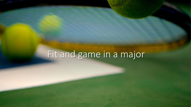# Fit and game in a major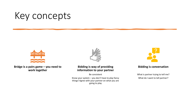# Key concepts



#### **Bridge is a pairs game – you need to work together**



**Bidding is way of providing information to your partner**

Be consistent

Know your system – you don't have to play fancy things! Agree with your partner on what you are going to play



#### **Bidding is conversation**

What is partner trying to tell me? What do I want to tell partner?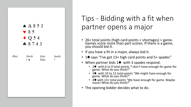| A853<br>$\vee 85$<br>$\bullet$ Q 54<br>$+8743$ |                                    |      |           |  |
|------------------------------------------------|------------------------------------|------|-----------|--|
| West                                           | North East South<br>$1 \spadesuit$ | Pass | $\cdot$ ? |  |

### Tips - Bidding with a fit when partner opens a major

- 26+ total points (high card points + shortages) = game. Games score more than part scores. If there is a game, you should bid it.
- If you have a fit in a major, always bid it.
- 1♦ says "I've got 13+ high card points and 5+ spades"
- When partner bids 1♠ with 3 spades respond:
	- 2♠ with 6 to 9 total points "I don't have enough for game for game. What do you think?"
	- 3♦ with 10 to 12 total points "We might have enough for game. What do you think?"
	- 4♠ with 13+ total points "We have enough for game. Maybe more! What do you think?"
- The opening bidder decides what to do.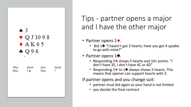### А3  $\bullet$  Q J 10 9 8  $*$  AK65  $*096$

North East South West Pass  $1 \triangle$ Pass 9

Tips - partner opens a major and I have the other major

- Partner opens  $1\blacktriangledown$ .
	- Bid 1♦ "I haven't got 3 hearts, have you got 4 spades to go with mine?"
- Partner opens 1♠.
	- Responding  $2 \vee$  shows 5 hearts and  $10+$  points. "I don't have 3S, I don't have 4C or 4D"
	- Responding 2 $\bullet$  to 1 $\bullet$  always shows 5 hearts. This means that opener can support hearts with 3.

If partner opens and you change suit:

- partner must bid again as your hand is not limited
- you decide the final contract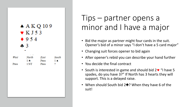

## Tips – partner opens a minor and I have a major

- Bid the major as partner might four cards in the suit. Opener's bid of a minor says "I don't have a 5 card major"
- Changing suit forces opener to bid again
- After opener's rebid you can describe your hand further
- You decide the final contract
- South is interested in game and should bid  $2 \cdot 4$  "I have 5 spades, do you have 3?" If North has 3 hearts they will support. This is a delayed raise.
- When should South bid 2♠? When they have 6 of the suit!